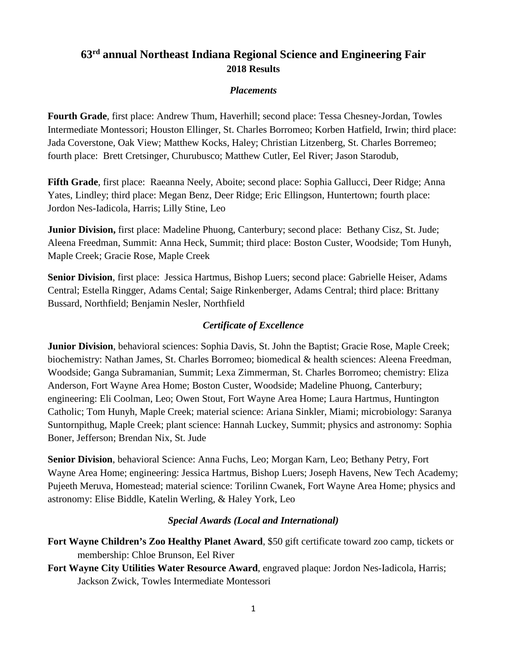# **63rd annual Northeast Indiana Regional Science and Engineering Fair 2018 Results**

### *Placements*

**Fourth Grade**, first place: Andrew Thum, Haverhill; second place: Tessa Chesney-Jordan, Towles Intermediate Montessori; Houston Ellinger, St. Charles Borromeo; Korben Hatfield, Irwin; third place: Jada Coverstone, Oak View; Matthew Kocks, Haley; Christian Litzenberg, St. Charles Borremeo; fourth place: Brett Cretsinger, Churubusco; Matthew Cutler, Eel River; Jason Starodub,

**Fifth Grade**, first place: Raeanna Neely, Aboite; second place: Sophia Gallucci, Deer Ridge; Anna Yates, Lindley; third place: Megan Benz, Deer Ridge; Eric Ellingson, Huntertown; fourth place: Jordon Nes-Iadicola, Harris; Lilly Stine, Leo

**Junior Division,** first place: Madeline Phuong, Canterbury; second place: Bethany Cisz, St. Jude; Aleena Freedman, Summit: Anna Heck, Summit; third place: Boston Custer, Woodside; Tom Hunyh, Maple Creek; Gracie Rose, Maple Creek

**Senior Division**, first place: Jessica Hartmus, Bishop Luers; second place: Gabrielle Heiser, Adams Central; Estella Ringger, Adams Cental; Saige Rinkenberger, Adams Central; third place: Brittany Bussard, Northfield; Benjamin Nesler, Northfield

### *Certificate of Excellence*

**Junior Division**, behavioral sciences: Sophia Davis, St. John the Baptist; Gracie Rose, Maple Creek; biochemistry: Nathan James, St. Charles Borromeo; biomedical & health sciences: Aleena Freedman, Woodside; Ganga Subramanian, Summit; Lexa Zimmerman, St. Charles Borromeo; chemistry: Eliza Anderson, Fort Wayne Area Home; Boston Custer, Woodside; Madeline Phuong, Canterbury; engineering: Eli Coolman, Leo; Owen Stout, Fort Wayne Area Home; Laura Hartmus, Huntington Catholic; Tom Hunyh, Maple Creek; material science: Ariana Sinkler, Miami; microbiology: Saranya Suntornpithug, Maple Creek; plant science: Hannah Luckey, Summit; physics and astronomy: Sophia Boner, Jefferson; Brendan Nix, St. Jude

**Senior Division**, behavioral Science: Anna Fuchs, Leo; Morgan Karn, Leo; Bethany Petry, Fort Wayne Area Home; engineering: Jessica Hartmus, Bishop Luers; Joseph Havens, New Tech Academy; Pujeeth Meruva, Homestead; material science: Torilinn Cwanek, Fort Wayne Area Home; physics and astronomy: Elise Biddle, Katelin Werling, & Haley York, Leo

#### *Special Awards (Local and International)*

- **Fort Wayne Children's Zoo Healthy Planet Award**, \$50 gift certificate toward zoo camp, tickets or membership: Chloe Brunson, Eel River
- **Fort Wayne City Utilities Water Resource Award**, engraved plaque: Jordon Nes-Iadicola, Harris; Jackson Zwick, Towles Intermediate Montessori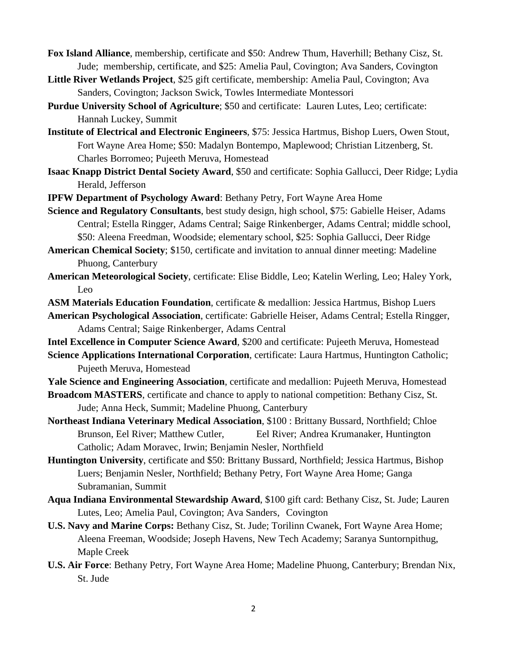- **Fox Island Alliance**, membership, certificate and \$50: Andrew Thum, Haverhill; Bethany Cisz, St. Jude; membership, certificate, and \$25: Amelia Paul, Covington; Ava Sanders, Covington
- **Little River Wetlands Project**, \$25 gift certificate, membership: Amelia Paul, Covington; Ava Sanders, Covington; Jackson Swick, Towles Intermediate Montessori
- **Purdue University School of Agriculture**; \$50 and certificate: Lauren Lutes, Leo; certificate: Hannah Luckey, Summit
- **Institute of Electrical and Electronic Engineers**, \$75: Jessica Hartmus, Bishop Luers, Owen Stout, Fort Wayne Area Home; \$50: Madalyn Bontempo, Maplewood; Christian Litzenberg, St. Charles Borromeo; Pujeeth Meruva, Homestead
- **Isaac Knapp District Dental Society Award**, \$50 and certificate: Sophia Gallucci, Deer Ridge; Lydia Herald, Jefferson
- **IPFW Department of Psychology Award**: Bethany Petry, Fort Wayne Area Home
- **Science and Regulatory Consultants**, best study design, high school, \$75: Gabielle Heiser, Adams Central; Estella Ringger, Adams Central; Saige Rinkenberger, Adams Central; middle school, \$50: Aleena Freedman, Woodside; elementary school, \$25: Sophia Gallucci, Deer Ridge
- **American Chemical Society**; \$150, certificate and invitation to annual dinner meeting: Madeline Phuong, Canterbury
- **American Meteorological Society**, certificate: Elise Biddle, Leo; Katelin Werling, Leo; Haley York, Leo
- **ASM Materials Education Foundation**, certificate & medallion: Jessica Hartmus, Bishop Luers
- **American Psychological Association**, certificate: Gabrielle Heiser, Adams Central; Estella Ringger, Adams Central; Saige Rinkenberger, Adams Central

**Intel Excellence in Computer Science Award**, \$200 and certificate: Pujeeth Meruva, Homestead

- **Science Applications International Corporation**, certificate: Laura Hartmus, Huntington Catholic; Pujeeth Meruva, Homestead
- **Yale Science and Engineering Association**, certificate and medallion: Pujeeth Meruva, Homestead

**Broadcom MASTERS**, certificate and chance to apply to national competition: Bethany Cisz, St. Jude; Anna Heck, Summit; Madeline Phuong, Canterbury

- **Northeast Indiana Veterinary Medical Association**, \$100 : Brittany Bussard, Northfield; Chloe Brunson, Eel River; Matthew Cutler, Eel River; Andrea Krumanaker, Huntington Catholic; Adam Moravec, Irwin; Benjamin Nesler, Northfield
- **Huntington University**, certificate and \$50: Brittany Bussard, Northfield; Jessica Hartmus, Bishop Luers; Benjamin Nesler, Northfield; Bethany Petry, Fort Wayne Area Home; Ganga Subramanian, Summit
- **Aqua Indiana Environmental Stewardship Award**, \$100 gift card: Bethany Cisz, St. Jude; Lauren Lutes, Leo; Amelia Paul, Covington; Ava Sanders, Covington
- **U.S. Navy and Marine Corps:** Bethany Cisz, St. Jude; Torilinn Cwanek, Fort Wayne Area Home; Aleena Freeman, Woodside; Joseph Havens, New Tech Academy; Saranya Suntornpithug, Maple Creek
- **U.S. Air Force**: Bethany Petry, Fort Wayne Area Home; Madeline Phuong, Canterbury; Brendan Nix, St. Jude